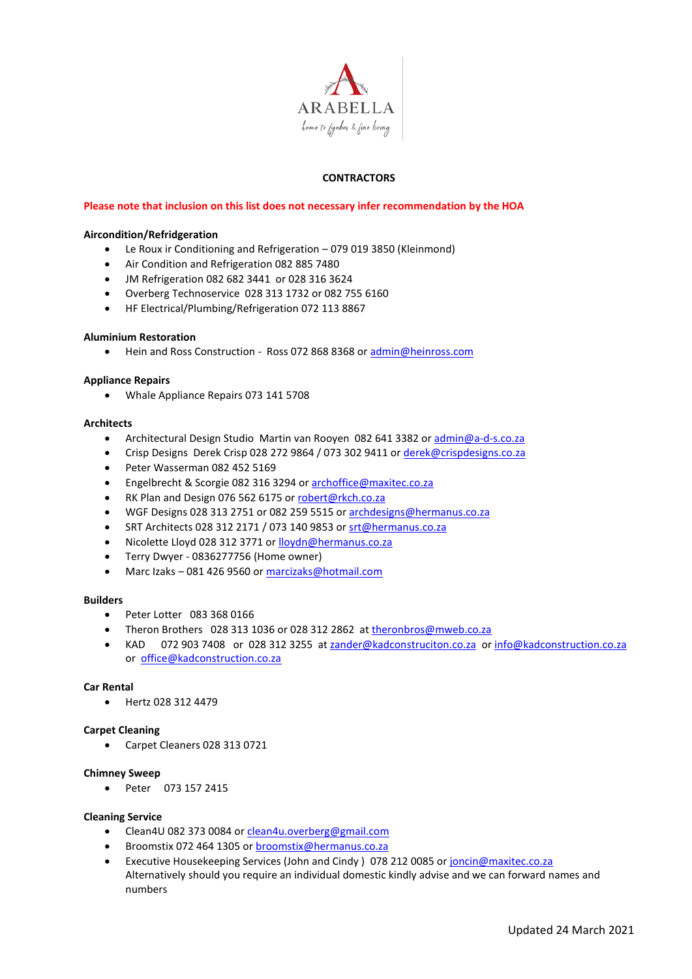

## **CONTRACTORS**

## **Please note that inclusion on this list does not necessary infer recommendation by the HOA**

## **Aircondition/Refridgeration**

- Le Roux ir Conditioning and Refrigeration 079 019 3850 (Kleinmond)
- Air Condition and Refrigeration 082 885 7480
- JM Refrigeration 082 682 3441 or 028 316 3624
- Overberg Technoservice 028 313 1732 or 082 755 6160
- HF Electrical/Plumbing/Refrigeration 072 113 8867

#### **Aluminium Restoration**

• Hein and Ross Construction - Ross 072 868 8368 o[r admin@heinross.com](mailto:admin@heinross.com)

#### **Appliance Repairs**

• Whale Appliance Repairs 073 141 5708

#### **Architects**

- Architectural Design Studio Martin van Rooyen 082 641 3382 o[r admin@a-d-s.co.za](mailto:admin@a-d-s.co.za)
- Crisp Designs Derek Crisp 028 272 9864 / 073 302 9411 or [derek@crispdesigns.co.za](mailto:derek@crispdesigns.co.za)
- Peter Wasserman 082 452 5169
- Engelbrecht & Scorgie 082 316 3294 or [archoffice@maxitec.co.za](mailto:archoffice@maxitec.co.za)
- RK Plan and Design 076 562 6175 or [robert@rkch.co.za](mailto:robert@rkch.co.za)
- WGF Designs 028 313 2751 or 082 259 5515 o[r archdesigns@hermanus.co.za](mailto:archdesigns@hermanus.co.za)
- SRT Architects 028 312 2171 / 073 140 9853 o[r srt@hermanus.co.za](mailto:srt@hermanus.co.za)
- Nicolette Lloyd 028 312 3771 or [lloydn@hermanus.co.za](mailto:lloydn@hermanus.co.za)
- Terry Dwyer 0836277756 (Home owner)
- Marc Izaks 081 426 9560 or [marcizaks@hotmail.com](mailto:marcizaks@hotmail.com)

#### **Builders**

- Peter Lotter 083 368 0166
- Theron Brothers 028 313 1036 or 028 312 2862 at [theronbros@mweb.co.za](mailto:theronbros@mweb.co.za)
- KAD072 903 7408or028 312 3255at [zander@kadconstruciton.co.za](mailto:zander@kadconstruciton.co.za) o[r info@kadconstruction.co.za](mailto:info@kadconstruction.co.za) or[office@kadconstruction.co.za](mailto:office@kadconstruction.co.za)

## **Car Rental**

• Hertz 028 312 4479

## **Carpet Cleaning**

• Carpet Cleaners 028 313 0721

## **Chimney Sweep**

• Peter 073 157 2415

#### **Cleaning Service**

- Clean4U 082 373 0084 or [clean4u.overberg@gmail.com](mailto:clean4u.overberg@gmail.com)
- Broomstix 072 464 1305 or [broomstix@hermanus.co.za](mailto:broomstix@hermanus.co.za)
- Executive Housekeeping Services (John and Cindy ) 078 212 0085 or [joncin@maxitec.co.za](mailto:joncin@maxitec.co.za) Alternatively should you require an individual domestic kindly advise and we can forward names and numbers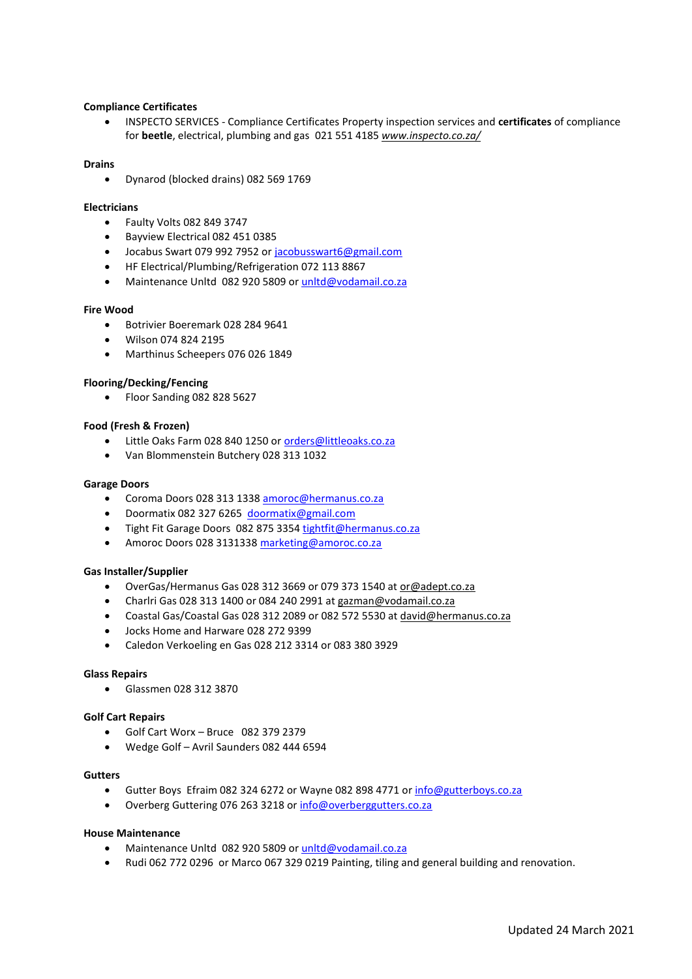## **Compliance Certificates**

• INSPECTO SERVICES - [Compliance Certificates](http://www.google.co.za/url?sa=t&rct=j&q=&esrc=s&source=web&cd=2&cad=rja&uact=8&ved=0CCsQFjABahUKEwj6sKOrzcbHAhUGVRQKHfw8Cc0&url=http%3A%2F%2Fwww.inspecto.co.za%2F&ei=j53dVbqtBoaqUfz5pOgM&usg=AFQjCNFaK5U8D2Gygc4LDctcH8-vf2shbg&sig2=D1aL-HvAONl9gctyApE8xA) Property inspection services and **certificates** of compliance for **beetle**, electrical, plumbing and gas 021 551 4185 *[www.inspecto.co.za/](http://www.inspecto.co.za/)*

## **Drains**

• Dynarod (blocked drains) 082 569 1769

#### **Electricians**

- Faulty Volts 082 849 3747
- Bayview Electrical 082 451 0385
- Jocabus Swart 079 992 7952 o[r jacobusswart6@gmail.com](mailto:jacobusswart6@gmail.com)
- HF Electrical/Plumbing/Refrigeration 072 113 8867
- Maintenance Unltd 082 920 5809 o[r unltd@vodamail.co.za](mailto:unltd@vodamail.co.za)

#### **Fire Wood**

- Botrivier Boeremark 028 284 9641
- Wilson 074 824 2195
- Marthinus Scheepers 076 026 1849

### **Flooring/Decking/Fencing**

• Floor Sanding 082 828 5627

#### **Food (Fresh & Frozen)**

- Little Oaks Farm 028 840 1250 o[r orders@littleoaks.co.za](mailto:orders@littleoaks.co.za)
- Van Blommenstein Butchery 028 313 1032

#### **Garage Doors**

- Coroma Doors 028 313 1338 [amoroc@hermanus.co.za](mailto:amoroc@hermanus.co.za)
- Doormatix 082 327 6265 [doormatix@gmail.com](mailto:doormatix@gmail.com)
- Tight Fit Garage Doors 082 875 335[4 tightfit@hermanus.co.za](mailto:tightfit@hermanus.co.za)
- Amoroc Doors 028 3131338 marketing@amoroc.co.za

#### **Gas Installer/Supplier**

- OverGas/Hermanus Gas 028 312 3669 or 079 373 1540 at [or@adept.co.za](mailto:or@adept.co.za)
- Charlri Gas 028 313 1400 or 084 240 2991 at [gazman@vodamail.co.za](mailto:gazman@vodamail.co.za)
- Coastal Gas/Coastal Gas 028 312 2089 or 082 572 5530 a[t david@hermanus.co.za](mailto:david@hermanus.co.za)
- Jocks Home and Harware 028 272 9399
- Caledon Verkoeling en Gas 028 212 3314 or 083 380 3929

#### **Glass Repairs**

• Glassmen 028 312 3870

#### **Golf Cart Repairs**

- Golf Cart Worx Bruce 082 379 2379
- Wedge Golf Avril Saunders 082 444 6594

#### **Gutters**

- Gutter Boys Efraim 082 324 6272 or Wayne 082 898 4771 or [info@gutterboys.co.za](mailto:info@gutterboys.co.za)
- Overberg Guttering 076 263 3218 or [info@overberggutters.co.za](mailto:info@overberggutters.co.za)

#### **House Maintenance**

- Maintenance Unltd 082 920 5809 o[r unltd@vodamail.co.za](mailto:unltd@vodamail.co.za)
- Rudi 062 772 0296 or Marco 067 329 0219 Painting, tiling and general building and renovation.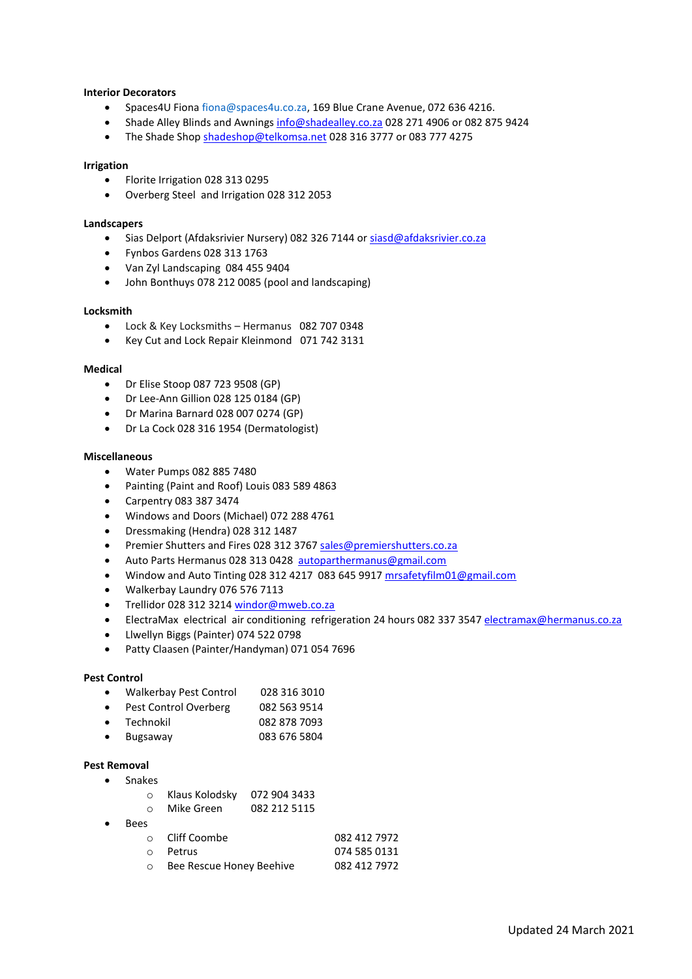## **Interior Decorators**

- Spaces4U Fiona [fiona@spaces4u.co.za,](mailto:fiona@spaces4u.co.za) 169 Blue Crane Avenue, 072 636 4216.
- Shade Alley Blinds and Awnings [info@shadealley.co.za](mailto:info@shadealley.co.za) 028 271 4906 or 082 875 9424
- The Shade Shop [shadeshop@telkomsa.net](mailto:shadeshop@telkomsa.net) 028 316 3777 or 083 777 4275

#### **Irrigation**

- Florite Irrigation 028 313 0295
- Overberg Steel and Irrigation 028 312 2053

#### **Landscapers**

- Sias Delport (Afdaksrivier Nursery) 082 326 7144 o[r siasd@afdaksrivier.co.za](mailto:siasd@afdaksrivier.co.za)
- Fynbos Gardens 028 313 1763
- Van Zyl Landscaping 084 455 9404
- John Bonthuys 078 212 0085 (pool and landscaping)

## **Locksmith**

- Lock & Key Locksmiths Hermanus 082 707 0348
- Key Cut and Lock Repair Kleinmond 071 742 [3131](tel:0717423131)

#### **Medical**

- Dr Elise Stoop 087 723 9508 (GP)
- Dr Lee-Ann Gillion 028 125 0184 (GP)
- Dr Marina Barnard 028 007 0274 (GP)
- Dr La Cock 028 316 1954 (Dermatologist)

#### **Miscellaneous**

- Water Pumps 082 885 7480
- Painting (Paint and Roof) Louis 083 589 4863
- Carpentry 083 387 3474
- Windows and Doors (Michael) 072 288 4761
- Dressmaking (Hendra) 028 312 1487
- Premier Shutters and Fires 028 312 376[7 sales@premiershutters.co.za](mailto:sales@premiershutters.co.za)
- Auto Parts Hermanus 028 313 0428 [autoparthermanus@gmail.com](mailto:autoparthermanus@gmail.com)
- Window and Auto Tinting 028 312 4217 083 645 9917 [mrsafetyfilm01@gmail.com](mailto:mrsafetyfilm01@gmail.com)
- Walkerbay Laundry 076 576 7113
- Trellidor 028 312 3214 [windor@mweb.co.za](mailto:windor@mweb.co.za)
- ElectraMax electrical air conditioning refrigeration 24 hours 082 337 3547 [electramax@hermanus.co.za](mailto:electramax@hermanus.co.za)
- Llwellyn Biggs (Painter) 074 522 0798
- Patty Claasen (Painter/Handyman) 071 054 7696

#### **Pest Control**

- Walkerbay Pest Control 028 316 3010
- Pest Control Overberg 082 563 9514
- Technokil 082 878 7093
- Bugsaway 083 676 5804

#### **Pest Removal**

- Snakes
	- o Klaus Kolodsky 072 904 3433
	- o Mike Green 082 212 5115
- Bees

| ⊙ Cliff Coombe             | 082 412 7972 |
|----------------------------|--------------|
| o <b>Petrus</b>            | 074 585 0131 |
| ○ Bee Rescue Honey Beehive | 082 412 7972 |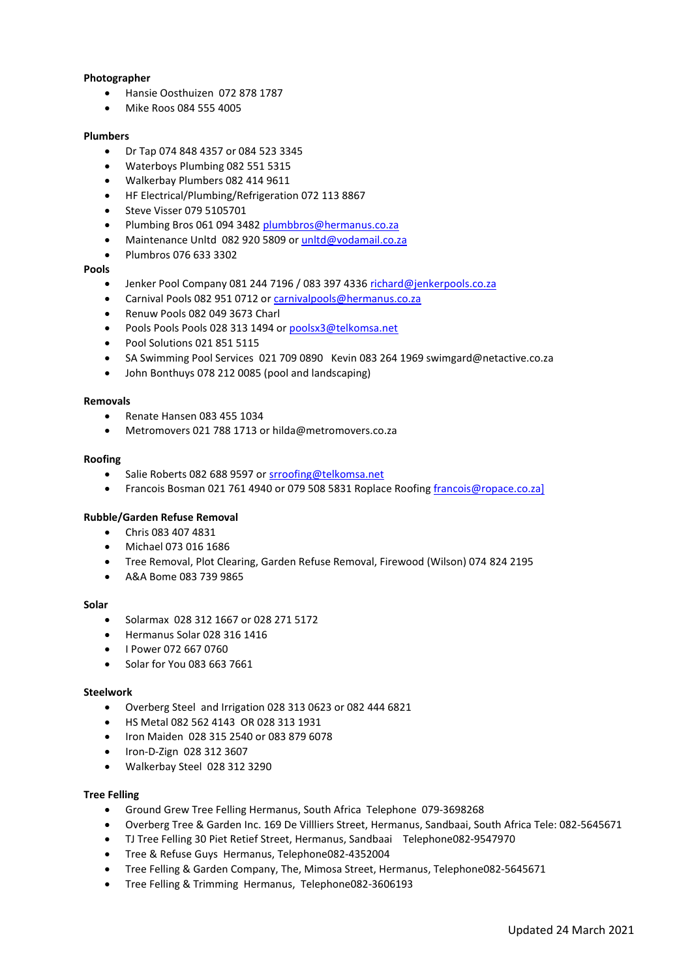## **Photographer**

- Hansie Oosthuizen 072 878 1787
- Mike Roos 084 555 4005

#### **Plumbers**

- Dr Tap 074 848 4357 or 084 523 3345
- Waterboys Plumbing 082 551 5315
- Walkerbay Plumbers 082 414 9611
- HF Electrical/Plumbing/Refrigeration 072 113 8867
- Steve Visser 079 5105701
- Plumbing Bros 061 094 3482 [plumbbros@hermanus.co.za](mailto:plumbbros@hermanus.co.za)
- Maintenance Unltd 082 920 5809 o[r unltd@vodamail.co.za](mailto:unltd@vodamail.co.za)
- Plumbros 076 633 3302

#### **Pools**

- Jenker Pool Company 081 244 7196 / 083 397 433[6 richard@jenkerpools.co.za](mailto:richard@jenkerpools.co.za)
- Carnival Pools 082 951 0712 o[r carnivalpools@hermanus.co.za](mailto:carnivalpools@hermanus.co.za)
- Renuw Pools 082 049 3673 Charl
- Pools Pools Pools 028 313 1494 or [poolsx3@telkomsa.net](mailto:poolsx3@telkomsa.net)
- Pool Solutions 021 851 5115
- SA Swimming Pool Services 021 709 0890 Kevin 083 264 1969 swimgard@netactive.co.za
- John Bonthuys 078 212 0085 (pool and landscaping)

### **Removals**

- Renate Hansen 083 455 1034
- Metromovers 021 788 1713 or hilda@metromovers.co.za

#### **Roofing**

- Salie Roberts 082 688 9597 o[r srroofing@telkomsa.net](mailto:srroofing@telkomsa.net)
- Francois Bosman 021 761 4940 or 079 508 5831 Roplace Roofing [francois@ropace.co.za\]](mailto:francois@ropace.co.za])

#### **Rubble/Garden Refuse Removal**

- Chris 083 407 4831
- Michael 073 016 1686
- Tree Removal, Plot Clearing, Garden Refuse Removal, Firewood (Wilson) 074 824 2195
- A&A Bome 083 739 9865

#### **Solar**

- Solarmax 028 312 1667 or 028 271 5172
- Hermanus Solar 028 316 1416
- I Power 072 667 0760
- Solar for You 083 663 7661

#### **Steelwork**

- Overberg Steel and Irrigation 028 313 0623 or 082 444 6821
- HS Metal 082 562 4143 OR 028 313 1931
- Iron Maiden 028 315 2540 or 083 879 6078
- Iron-D-Zign 028 312 3607
- Walkerbay Steel 028 312 3290

#### **Tree Felling**

- [Ground](https://www.hermanus.co.za/where-to-buy/gardening-a-plants/tree-felling/2530-ground-grew-tree-felling) Grew Tree Felling [Hermanus,](https://www.hermanus.co.za/where-to-buy/search-by/city?value=Hermanus) South [Africa](https://www.hermanus.co.za/where-to-buy/search-by/country?value=South%20Africa) Telephone [079-3698268](tel:079-3698268)
- [Overberg](https://www.hermanus.co.za/where-to-buy/gardening-a-plants/tree-felling/2529-all-tree-felling) Tree & Garden Inc. 169 De Villliers Street, [Hermanus,](https://www.hermanus.co.za/where-to-buy/search-by/city?value=Hermanus) [Sandbaai,](https://www.hermanus.co.za/where-to-buy/search-by/suburb?value=Sandbaai) [South](https://www.hermanus.co.za/where-to-buy/search-by/country?value=South%20Africa) Africa Tele: [082-5645671](tel:082-5645671)
- TJ Tree [Felling](https://www.hermanus.co.za/where-to-buy/gardening-a-plants/tree-felling/2532-tj-tree-felling) 30 Piet Retief Street, [Hermanus,](https://www.hermanus.co.za/where-to-buy/search-by/city?value=Hermanus) [Sandbaai](https://www.hermanus.co.za/where-to-buy/search-by/suburb?value=Sandbaai) Telephon[e082-9547970](tel:082-9547970)
- Tree & [Refuse](https://www.hermanus.co.za/where-to-buy/gardening-a-plants/tree-felling/8535-tree-refuse-guys) Guys [Hermanus,](https://www.hermanus.co.za/where-to-buy/search-by/city?value=Hermanus) Telephon[e082-4352004](tel:082-4352004)
- Tree Felling & Garden [Company,](https://www.hermanus.co.za/where-to-buy/gardening-a-plants/tree-felling/2531-the-tree-felling-a-garden-company) The, Mimosa Street, [Hermanus,](https://www.hermanus.co.za/where-to-buy/search-by/city?value=Hermanus) Telephon[e082-5645671](tel:082-5645671)
- Tree Felling & [Trimming](https://www.hermanus.co.za/where-to-buy/gardening-a-plants/tree-felling/2533-tree-felling-a-trimming) [Hermanus,](https://www.hermanus.co.za/where-to-buy/search-by/city?value=Hermanus) Telephon[e082-3606193](tel:082-3606193)